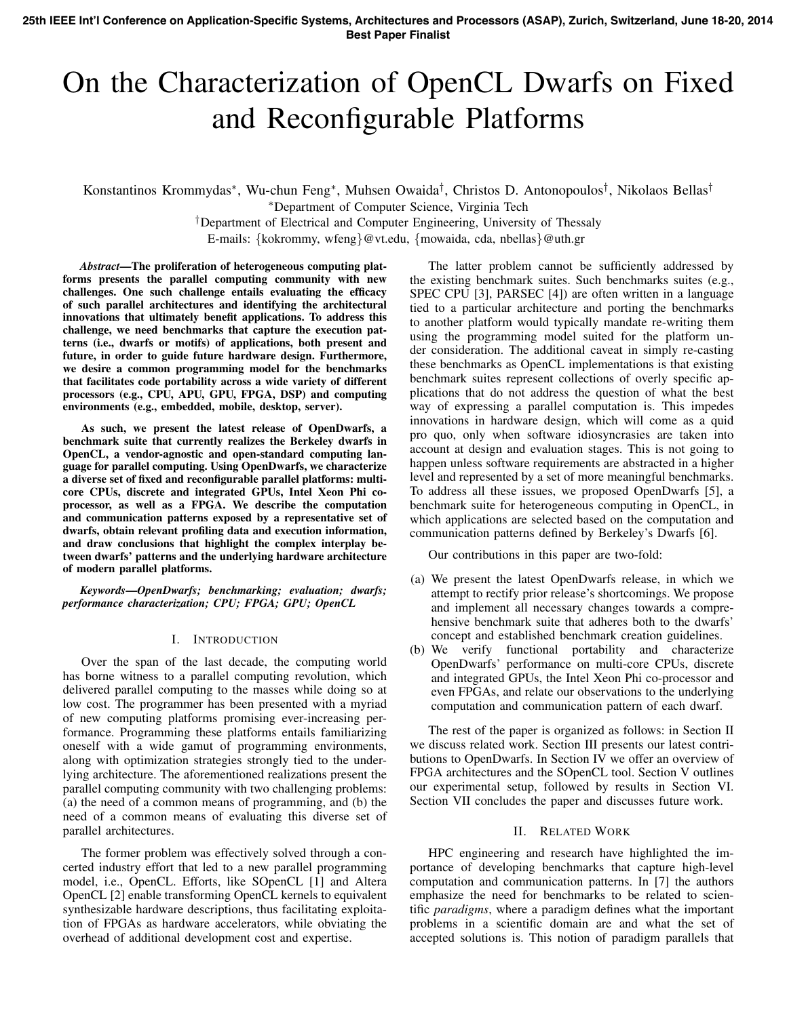# On the Characterization of OpenCL Dwarfs on Fixed and Reconfigurable Platforms

Konstantinos Krommydas<sup>\*</sup>, Wu-chun Feng<sup>\*</sup>, Muhsen Owaida<sup>†</sup>, Christos D. Antonopoulos<sup>†</sup>, Nikolaos Bellas<sup>†</sup> ⇤Department of Computer Science, Virginia Tech

*†*Department of Electrical and Computer Engineering, University of Thessaly E-mails: *{*kokrommy, wfeng*}*@vt.edu, *{*mowaida, cda, nbellas*}*@uth.gr

*Abstract*—The proliferation of heterogeneous computing platforms presents the parallel computing community with new challenges. One such challenge entails evaluating the efficacy of such parallel architectures and identifying the architectural innovations that ultimately benefit applications. To address this challenge, we need benchmarks that capture the execution patterns (i.e., dwarfs or motifs) of applications, both present and future, in order to guide future hardware design. Furthermore, we desire a common programming model for the benchmarks that facilitates code portability across a wide variety of different processors (e.g., CPU, APU, GPU, FPGA, DSP) and computing environments (e.g., embedded, mobile, desktop, server).

As such, we present the latest release of OpenDwarfs, a benchmark suite that currently realizes the Berkeley dwarfs in OpenCL, a vendor-agnostic and open-standard computing language for parallel computing. Using OpenDwarfs, we characterize a diverse set of fixed and reconfigurable parallel platforms: multicore CPUs, discrete and integrated GPUs, Intel Xeon Phi coprocessor, as well as a FPGA. We describe the computation and communication patterns exposed by a representative set of dwarfs, obtain relevant profiling data and execution information, and draw conclusions that highlight the complex interplay between dwarfs' patterns and the underlying hardware architecture of modern parallel platforms.

*Keywords*—*OpenDwarfs; benchmarking; evaluation; dwarfs; performance characterization; CPU; FPGA; GPU; OpenCL*

## I. INTRODUCTION

Over the span of the last decade, the computing world has borne witness to a parallel computing revolution, which delivered parallel computing to the masses while doing so at low cost. The programmer has been presented with a myriad of new computing platforms promising ever-increasing performance. Programming these platforms entails familiarizing oneself with a wide gamut of programming environments, along with optimization strategies strongly tied to the underlying architecture. The aforementioned realizations present the parallel computing community with two challenging problems: (a) the need of a common means of programming, and (b) the need of a common means of evaluating this diverse set of parallel architectures.

The former problem was effectively solved through a concerted industry effort that led to a new parallel programming model, i.e., OpenCL. Efforts, like SOpenCL [1] and Altera OpenCL [2] enable transforming OpenCL kernels to equivalent synthesizable hardware descriptions, thus facilitating exploitation of FPGAs as hardware accelerators, while obviating the overhead of additional development cost and expertise.

The latter problem cannot be sufficiently addressed by the existing benchmark suites. Such benchmarks suites (e.g., SPEC CPU [3], PARSEC [4]) are often written in a language tied to a particular architecture and porting the benchmarks to another platform would typically mandate re-writing them using the programming model suited for the platform under consideration. The additional caveat in simply re-casting these benchmarks as OpenCL implementations is that existing benchmark suites represent collections of overly specific applications that do not address the question of what the best way of expressing a parallel computation is. This impedes innovations in hardware design, which will come as a quid pro quo, only when software idiosyncrasies are taken into account at design and evaluation stages. This is not going to happen unless software requirements are abstracted in a higher level and represented by a set of more meaningful benchmarks. To address all these issues, we proposed OpenDwarfs [5], a benchmark suite for heterogeneous computing in OpenCL, in which applications are selected based on the computation and communication patterns defined by Berkeley's Dwarfs [6].

Our contributions in this paper are two-fold:

- (a) We present the latest OpenDwarfs release, in which we attempt to rectify prior release's shortcomings. We propose and implement all necessary changes towards a comprehensive benchmark suite that adheres both to the dwarfs' concept and established benchmark creation guidelines.
- (b) We verify functional portability and characterize OpenDwarfs' performance on multi-core CPUs, discrete and integrated GPUs, the Intel Xeon Phi co-processor and even FPGAs, and relate our observations to the underlying computation and communication pattern of each dwarf.

The rest of the paper is organized as follows: in Section II we discuss related work. Section III presents our latest contributions to OpenDwarfs. In Section IV we offer an overview of FPGA architectures and the SOpenCL tool. Section V outlines our experimental setup, followed by results in Section VI. Section VII concludes the paper and discusses future work.

## II. RELATED WORK

HPC engineering and research have highlighted the importance of developing benchmarks that capture high-level computation and communication patterns. In [7] the authors emphasize the need for benchmarks to be related to scientific *paradigms*, where a paradigm defines what the important problems in a scientific domain are and what the set of accepted solutions is. This notion of paradigm parallels that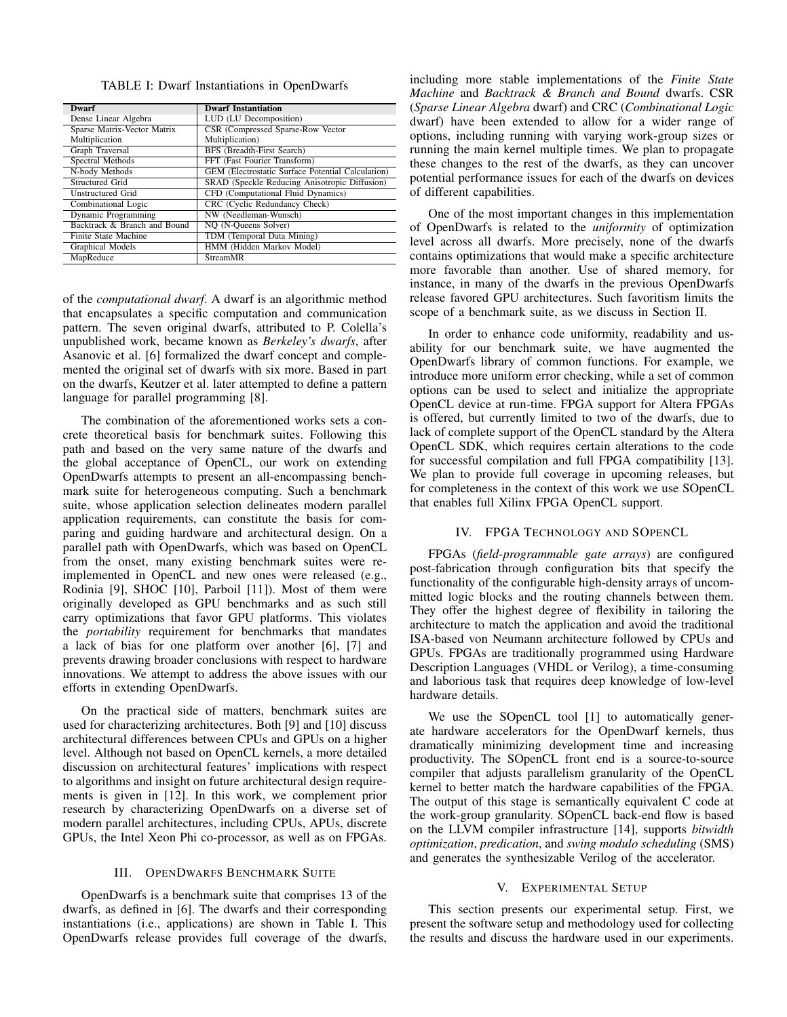TABLE I: Dwarf Instantiations in OpenDwarfs

| Dwarf                        | <b>Dwarf Instantiation</b>                        |
|------------------------------|---------------------------------------------------|
| Dense Linear Algebra         | LUD (LU Decomposition)                            |
| Sparse Matrix-Vector Matrix  | CSR (Compressed Sparse-Row Vector                 |
| Multiplication               | Multiplication)                                   |
| Graph Traversal              | BFS (Breadth-First Search)                        |
| Spectral Methods             | FFT (Fast Fourier Transform)                      |
| N-body Methods               | GEM (Electrostatic Surface Potential Calculation) |
| Structured Grid              | SRAD (Speckle Reducing Anisotropic Diffusion)     |
| <b>Unstructured Grid</b>     | CFD (Computational Fluid Dynamics)                |
| Combinational Logic          | CRC (Cyclic Redundancy Check)                     |
| Dynamic Programming          | NW (Needleman-Wunsch)                             |
| Backtrack & Branch and Bound | NO (N-Queens Solver)                              |
| Finite State Machine         | TDM (Temporal Data Mining)                        |
| <b>Graphical Models</b>      | HMM (Hidden Markov Model)                         |
| MapReduce                    | <b>StreamMR</b>                                   |

of the *computational dwarf*. A dwarf is an algorithmic method that encapsulates a specific computation and communication pattern. The seven original dwarfs, attributed to P. Colella's unpublished work, became known as *Berkeley's dwarfs*, after Asanovic et al. [6] formalized the dwarf concept and complemented the original set of dwarfs with six more. Based in part on the dwarfs, Keutzer et al. later attempted to define a pattern language for parallel programming [8].

The combination of the aforementioned works sets a concrete theoretical basis for benchmark suites. Following this path and based on the very same nature of the dwarfs and the global acceptance of OpenCL, our work on extending OpenDwarfs attempts to present an all-encompassing benchmark suite for heterogeneous computing. Such a benchmark suite, whose application selection delineates modern parallel application requirements, can constitute the basis for comparing and guiding hardware and architectural design. On a parallel path with OpenDwarfs, which was based on OpenCL from the onset, many existing benchmark suites were reimplemented in OpenCL and new ones were released (e.g., Rodinia [9], SHOC [10], Parboil [11]). Most of them were originally developed as GPU benchmarks and as such still carry optimizations that favor GPU platforms. This violates the *portability* requirement for benchmarks that mandates a lack of bias for one platform over another [6], [7] and prevents drawing broader conclusions with respect to hardware innovations. We attempt to address the above issues with our efforts in extending OpenDwarfs.

On the practical side of matters, benchmark suites are used for characterizing architectures. Both [9] and [10] discuss architectural differences between CPUs and GPUs on a higher level. Although not based on OpenCL kernels, a more detailed discussion on architectural features' implications with respect to algorithms and insight on future architectural design requirements is given in [12]. In this work, we complement prior research by characterizing OpenDwarfs on a diverse set of modern parallel architectures, including CPUs, APUs, discrete GPUs, the Intel Xeon Phi co-processor, as well as on FPGAs.

## III. OPENDWARFS BENCHMARK SUITE

OpenDwarfs is a benchmark suite that comprises 13 of the dwarfs, as defined in [6]. The dwarfs and their corresponding instantiations (i.e., applications) are shown in Table I. This OpenDwarfs release provides full coverage of the dwarfs, including more stable implementations of the *Finite State Machine* and *Backtrack & Branch and Bound* dwarfs. CSR (*Sparse Linear Algebra* dwarf) and CRC (*Combinational Logic* dwarf) have been extended to allow for a wider range of options, including running with varying work-group sizes or running the main kernel multiple times. We plan to propagate these changes to the rest of the dwarfs, as they can uncover potential performance issues for each of the dwarfs on devices of different capabilities.

One of the most important changes in this implementation of OpenDwarfs is related to the *uniformity* of optimization level across all dwarfs. More precisely, none of the dwarfs contains optimizations that would make a specific architecture more favorable than another. Use of shared memory, for instance, in many of the dwarfs in the previous OpenDwarfs release favored GPU architectures. Such favoritism limits the scope of a benchmark suite, as we discuss in Section II.

In order to enhance code uniformity, readability and usability for our benchmark suite, we have augmented the OpenDwarfs library of common functions. For example, we introduce more uniform error checking, while a set of common options can be used to select and initialize the appropriate OpenCL device at run-time. FPGA support for Altera FPGAs is offered, but currently limited to two of the dwarfs, due to lack of complete support of the OpenCL standard by the Altera OpenCL SDK, which requires certain alterations to the code for successful compilation and full FPGA compatibility [13]. We plan to provide full coverage in upcoming releases, but for completeness in the context of this work we use SOpenCL that enables full Xilinx FPGA OpenCL support.

#### IV. FPGA TECHNOLOGY AND SOPENCL

FPGAs (*field-programmable gate arrays*) are configured post-fabrication through configuration bits that specify the functionality of the configurable high-density arrays of uncommitted logic blocks and the routing channels between them. They offer the highest degree of flexibility in tailoring the architecture to match the application and avoid the traditional ISA-based von Neumann architecture followed by CPUs and GPUs. FPGAs are traditionally programmed using Hardware Description Languages (VHDL or Verilog), a time-consuming and laborious task that requires deep knowledge of low-level hardware details.

We use the SOpenCL tool [1] to automatically generate hardware accelerators for the OpenDwarf kernels, thus dramatically minimizing development time and increasing productivity. The SOpenCL front end is a source-to-source compiler that adjusts parallelism granularity of the OpenCL kernel to better match the hardware capabilities of the FPGA. The output of this stage is semantically equivalent C code at the work-group granularity. SOpenCL back-end flow is based on the LLVM compiler infrastructure [14], supports *bitwidth optimization*, *predication*, and *swing modulo scheduling* (SMS) and generates the synthesizable Verilog of the accelerator.

## V. EXPERIMENTAL SETUP

This section presents our experimental setup. First, we present the software setup and methodology used for collecting the results and discuss the hardware used in our experiments.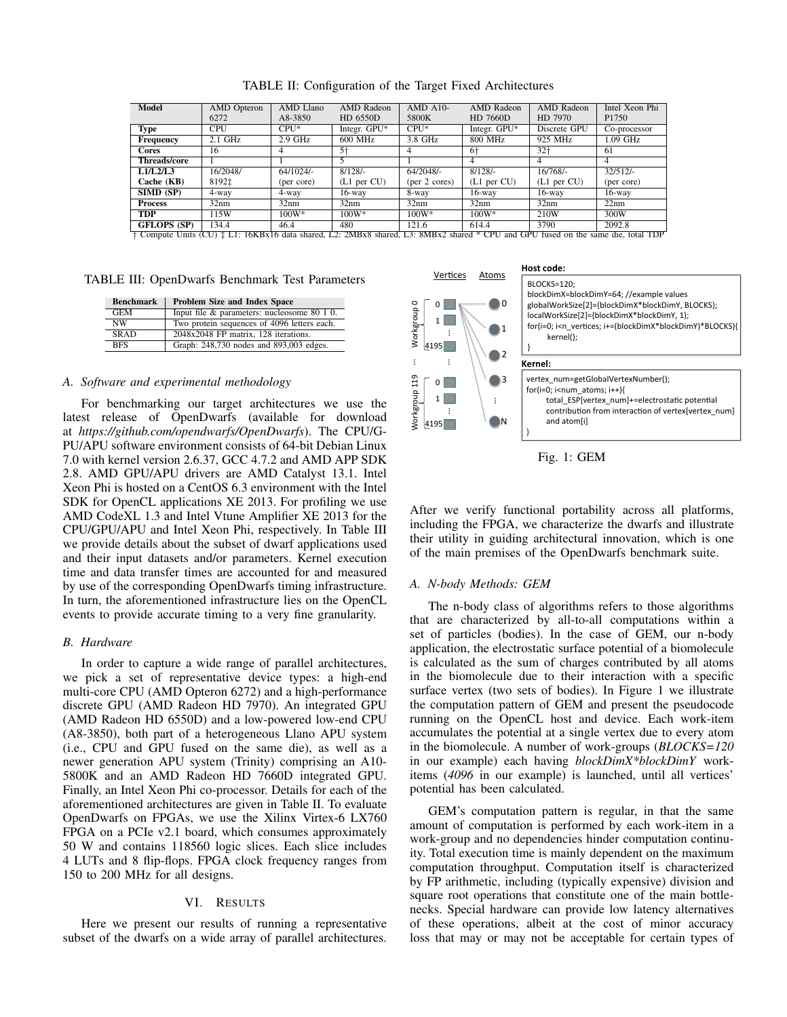| Model               | AMD Opteron | AMD Llano  | <b>AMD</b> Radeon | $AMD$ $A10-$       | <b>AMD</b> Radeon      | AMD Radeon             | Intel Xeon Phi |
|---------------------|-------------|------------|-------------------|--------------------|------------------------|------------------------|----------------|
|                     | 6272        | A8-3850    | HD 6550D          | 5800K              | <b>HD 7660D</b>        | HD 7970                | P1750          |
| Type                | <b>CPU</b>  | $CPIJ*$    | Integr. GPU*      | $CPI$ <sup>*</sup> | Integr. GPU*           | Discrete GPU           | Co-processor   |
| <b>Frequency</b>    | $2.1$ GHz   | $2.9$ GHz  | 600 MHz           | 3.8 GHz            | 800 MHz                | 925 MHz                | $1.09$ GHz     |
| Cores               | 16          | 4          | 5†                |                    | 6†                     | 32 <sub>1</sub>        | 61             |
| <b>Threads/core</b> |             |            | 5                 |                    | 4                      | 4                      | 4              |
| L1/L2/L3            | 16/2048/    | 64/1024/   | 8/128/            | 64/2048/-          | 8/128/                 | 16/768/                | 32/512/        |
| Cache (KB)          | 81921       | (per core) | $(L1$ per $CU)$   | (per 2 cores)      | $(L1 \text{ per } CU)$ | $(L1 \text{ per } CU)$ | (per core)     |
| SIMD (SP)           | 4-way       | 4-way      | $16$ -way         | 8-way              | $16$ -way              | $16$ -way              | $16$ -way      |
| <b>Process</b>      | 32nm        | 32nm       | 32nm              | 32nm               | 32nm                   | 32nm                   | 22nm           |
| <b>TDP</b>          | l 15W       | $100W*$    | $100W*$           | $100W*$            | $100W*$                | 210W                   | 300W           |
| <b>GFLOPS (SP)</b>  | 134.4       | 46.4       | 480               | 121.6              | 614.4                  | 3790                   | 2092.8         |

TABLE II: Configuration of the Target Fixed Architectures

*†* Compute Units (CU) *‡* L1: 16KBx16 data shared, L2: 2MBx8 shared, L3: 8MBx2 shared \* CPU and GPU fused on the same die, total TDP

#### TABLE III: OpenDwarfs Benchmark Test Parameters

| <b>Benchmark</b> | Problem Size and Index Space                |
|------------------|---------------------------------------------|
| <b>GEM</b>       | Input file & parameters: nucleosome 80 1 0. |
| NW               | Two protein sequences of 4096 letters each. |
| <b>SRAD</b>      | 2048x2048 FP matrix, 128 iterations.        |
| <b>RES</b>       | Graph: 248,730 nodes and 893,003 edges.     |

## *A. Software and experimental methodology*

For benchmarking our target architectures we use the latest release of OpenDwarfs (available for download at *https://github.com/opendwarfs/OpenDwarfs*). The CPU/G-PU/APU software environment consists of 64-bit Debian Linux 7.0 with kernel version 2.6.37, GCC 4.7.2 and AMD APP SDK 2.8. AMD GPU/APU drivers are AMD Catalyst 13.1. Intel Xeon Phi is hosted on a CentOS 6.3 environment with the Intel SDK for OpenCL applications XE 2013. For profiling we use AMD CodeXL 1.3 and Intel Vtune Amplifier XE 2013 for the CPU/GPU/APU and Intel Xeon Phi, respectively. In Table III we provide details about the subset of dwarf applications used and their input datasets and/or parameters. Kernel execution time and data transfer times are accounted for and measured by use of the corresponding OpenDwarfs timing infrastructure. In turn, the aforementioned infrastructure lies on the OpenCL events to provide accurate timing to a very fine granularity.

#### *B. Hardware*

In order to capture a wide range of parallel architectures, we pick a set of representative device types: a high-end multi-core CPU (AMD Opteron 6272) and a high-performance discrete GPU (AMD Radeon HD 7970). An integrated GPU (AMD Radeon HD 6550D) and a low-powered low-end CPU (A8-3850), both part of a heterogeneous Llano APU system (i.e., CPU and GPU fused on the same die), as well as a newer generation APU system (Trinity) comprising an A10- 5800K and an AMD Radeon HD 7660D integrated GPU. Finally, an Intel Xeon Phi co-processor. Details for each of the aforementioned architectures are given in Table II. To evaluate OpenDwarfs on FPGAs, we use the Xilinx Virtex-6 LX760 FPGA on a PCIe v2.1 board, which consumes approximately 50 W and contains 118560 logic slices. Each slice includes 4 LUTs and 8 flip-flops. FPGA clock frequency ranges from 150 to 200 MHz for all designs.

#### VI. RESULTS

Here we present our results of running a representative subset of the dwarfs on a wide array of parallel architectures.



Fig. 1: GEM

After we verify functional portability across all platforms, including the FPGA, we characterize the dwarfs and illustrate their utility in guiding architectural innovation, which is one of the main premises of the OpenDwarfs benchmark suite.

# *A. N-body Methods: GEM*

The n-body class of algorithms refers to those algorithms that are characterized by all-to-all computations within a set of particles (bodies). In the case of GEM, our n-body application, the electrostatic surface potential of a biomolecule is calculated as the sum of charges contributed by all atoms in the biomolecule due to their interaction with a specific surface vertex (two sets of bodies). In Figure 1 we illustrate the computation pattern of GEM and present the pseudocode running on the OpenCL host and device. Each work-item accumulates the potential at a single vertex due to every atom in the biomolecule. A number of work-groups (*BLOCKS=120* in our example) each having *blockDimX\*blockDimY* workitems (*4096* in our example) is launched, until all vertices' potential has been calculated.

GEM's computation pattern is regular, in that the same amount of computation is performed by each work-item in a work-group and no dependencies hinder computation continuity. Total execution time is mainly dependent on the maximum computation throughput. Computation itself is characterized by FP arithmetic, including (typically expensive) division and square root operations that constitute one of the main bottlenecks. Special hardware can provide low latency alternatives of these operations, albeit at the cost of minor accuracy loss that may or may not be acceptable for certain types of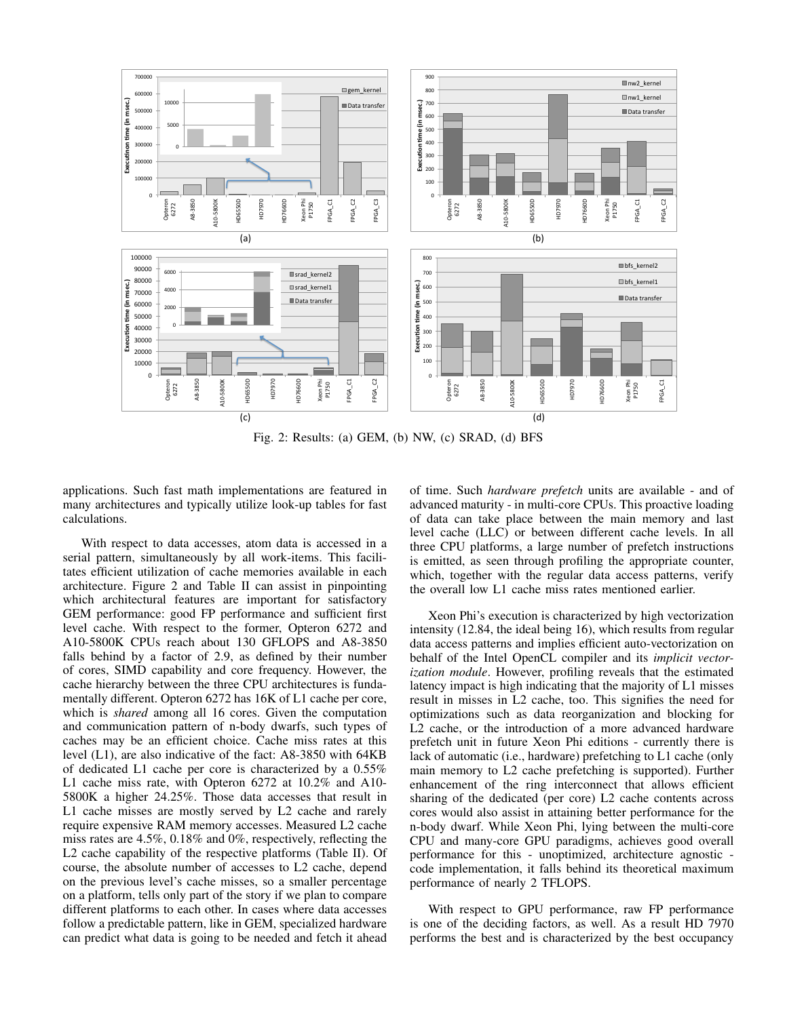

Fig. 2: Results: (a) GEM, (b) NW, (c) SRAD, (d) BFS

applications. Such fast math implementations are featured in many architectures and typically utilize look-up tables for fast calculations.

With respect to data accesses, atom data is accessed in a serial pattern, simultaneously by all work-items. This facilitates efficient utilization of cache memories available in each architecture. Figure 2 and Table II can assist in pinpointing which architectural features are important for satisfactory GEM performance: good FP performance and sufficient first level cache. With respect to the former, Opteron 6272 and A10-5800K CPUs reach about 130 GFLOPS and A8-3850 falls behind by a factor of 2.9, as defined by their number of cores, SIMD capability and core frequency. However, the cache hierarchy between the three CPU architectures is fundamentally different. Opteron 6272 has 16K of L1 cache per core, which is *shared* among all 16 cores. Given the computation and communication pattern of n-body dwarfs, such types of caches may be an efficient choice. Cache miss rates at this level (L1), are also indicative of the fact: A8-3850 with 64KB of dedicated L1 cache per core is characterized by a 0.55% L1 cache miss rate, with Opteron 6272 at 10.2% and A10- 5800K a higher 24.25%. Those data accesses that result in L1 cache misses are mostly served by L2 cache and rarely require expensive RAM memory accesses. Measured L2 cache miss rates are 4.5%, 0.18% and 0%, respectively, reflecting the L2 cache capability of the respective platforms (Table II). Of course, the absolute number of accesses to L2 cache, depend on the previous level's cache misses, so a smaller percentage on a platform, tells only part of the story if we plan to compare different platforms to each other. In cases where data accesses follow a predictable pattern, like in GEM, specialized hardware can predict what data is going to be needed and fetch it ahead

of time. Such *hardware prefetch* units are available - and of advanced maturity - in multi-core CPUs. This proactive loading of data can take place between the main memory and last level cache (LLC) or between different cache levels. In all three CPU platforms, a large number of prefetch instructions is emitted, as seen through profiling the appropriate counter, which, together with the regular data access patterns, verify the overall low L1 cache miss rates mentioned earlier.

Xeon Phi's execution is characterized by high vectorization intensity (12.84, the ideal being 16), which results from regular data access patterns and implies efficient auto-vectorization on behalf of the Intel OpenCL compiler and its *implicit vectorization module*. However, profiling reveals that the estimated latency impact is high indicating that the majority of L1 misses result in misses in L2 cache, too. This signifies the need for optimizations such as data reorganization and blocking for L2 cache, or the introduction of a more advanced hardware prefetch unit in future Xeon Phi editions - currently there is lack of automatic (i.e., hardware) prefetching to L1 cache (only main memory to L2 cache prefetching is supported). Further enhancement of the ring interconnect that allows efficient sharing of the dedicated (per core) L2 cache contents across cores would also assist in attaining better performance for the n-body dwarf. While Xeon Phi, lying between the multi-core CPU and many-core GPU paradigms, achieves good overall performance for this - unoptimized, architecture agnostic code implementation, it falls behind its theoretical maximum performance of nearly 2 TFLOPS.

With respect to GPU performance, raw FP performance is one of the deciding factors, as well. As a result HD 7970 performs the best and is characterized by the best occupancy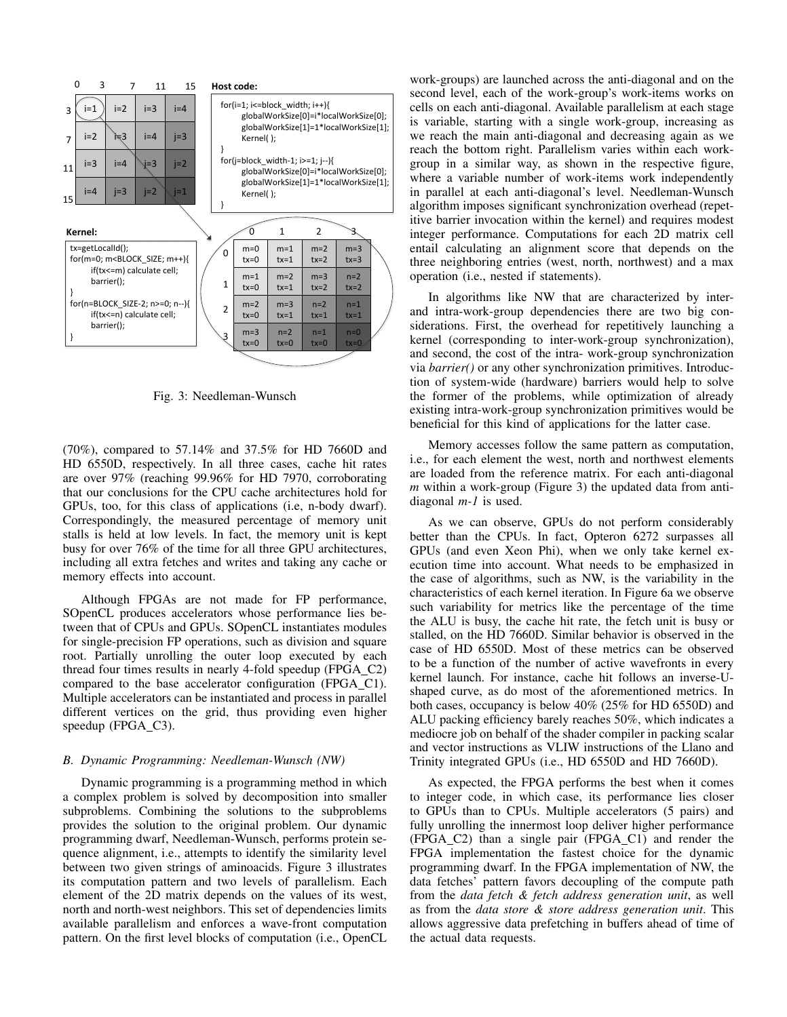

Fig. 3: Needleman-Wunsch

(70%), compared to 57.14% and 37.5% for HD 7660D and HD 6550D, respectively. In all three cases, cache hit rates are over 97% (reaching 99.96% for HD 7970, corroborating that our conclusions for the CPU cache architectures hold for GPUs, too, for this class of applications (i.e, n-body dwarf). Correspondingly, the measured percentage of memory unit stalls is held at low levels. In fact, the memory unit is kept busy for over 76% of the time for all three GPU architectures, including all extra fetches and writes and taking any cache or memory effects into account.

Although FPGAs are not made for FP performance, SOpenCL produces accelerators whose performance lies between that of CPUs and GPUs. SOpenCL instantiates modules for single-precision FP operations, such as division and square root. Partially unrolling the outer loop executed by each thread four times results in nearly 4-fold speedup (FPGA\_C2) compared to the base accelerator configuration (FPGA\_C1). Multiple accelerators can be instantiated and process in parallel different vertices on the grid, thus providing even higher speedup (FPGA\_C3).

## B. Dynamic Programming: Needleman-Wunsch (NW)

Dynamic programming is a programming method in which a complex problem is solved by decomposition into smaller subproblems. Combining the solutions to the subproblems provides the solution to the original problem. Our dynamic programming dwarf, Needleman-Wunsch, performs protein sequence alignment, i.e., attempts to identify the similarity level between two given strings of aminoacids. Figure 3 illustrates its computation pattern and two levels of parallelism. Each element of the 2D matrix depends on the values of its west, north and north-west neighbors. This set of dependencies limits available parallelism and enforces a wave-front computation pattern. On the first level blocks of computation (i.e., OpenCL work-groups) are launched across the anti-diagonal and on the second level, each of the work-group's work-items works on cells on each anti-diagonal. Available parallelism at each stage is variable, starting with a single work-group, increasing as we reach the main anti-diagonal and decreasing again as we reach the bottom right. Parallelism varies within each workgroup in a similar way, as shown in the respective figure, where a variable number of work-items work independently in parallel at each anti-diagonal's level. Needleman-Wunsch algorithm imposes significant synchronization overhead (repetitive barrier invocation within the kernel) and requires modest integer performance. Computations for each 2D matrix cell entail calculating an alignment score that depends on the three neighboring entries (west, north, northwest) and a max operation (i.e., nested if statements).

In algorithms like NW that are characterized by interand intra-work-group dependencies there are two big considerations. First, the overhead for repetitively launching a kernel (corresponding to inter-work-group synchronization), and second, the cost of the intra- work-group synchronization via barrier() or any other synchronization primitives. Introduction of system-wide (hardware) barriers would help to solve the former of the problems, while optimization of already existing intra-work-group synchronization primitives would be beneficial for this kind of applications for the latter case.

Memory accesses follow the same pattern as computation, i.e., for each element the west, north and northwest elements are loaded from the reference matrix. For each anti-diagonal  $m$  within a work-group (Figure 3) the updated data from antidiagonal  $m-1$  is used.

As we can observe, GPUs do not perform considerably better than the CPUs. In fact, Opteron 6272 surpasses all GPUs (and even Xeon Phi), when we only take kernel execution time into account. What needs to be emphasized in the case of algorithms, such as NW, is the variability in the characteristics of each kernel iteration. In Figure 6a we observe such variability for metrics like the percentage of the time the ALU is busy, the cache hit rate, the fetch unit is busy or stalled, on the HD 7660D. Similar behavior is observed in the case of HD 6550D. Most of these metrics can be observed to be a function of the number of active wavefronts in every kernel launch. For instance, cache hit follows an inverse-Ushaped curve, as do most of the aforementioned metrics. In both cases, occupancy is below 40% (25% for HD 6550D) and ALU packing efficiency barely reaches 50%, which indicates a mediocre job on behalf of the shader compiler in packing scalar and vector instructions as VLIW instructions of the Llano and Trinity integrated GPUs (i.e., HD 6550D and HD 7660D).

As expected, the FPGA performs the best when it comes to integer code, in which case, its performance lies closer to GPUs than to CPUs. Multiple accelerators (5 pairs) and fully unrolling the innermost loop deliver higher performance (FPGA\_C2) than a single pair (FPGA\_C1) and render the FPGA implementation the fastest choice for the dynamic programming dwarf. In the FPGA implementation of NW, the data fetches' pattern favors decoupling of the compute path from the data fetch & fetch address generation unit, as well as from the data store & store address generation unit. This allows aggressive data prefetching in buffers ahead of time of the actual data requests.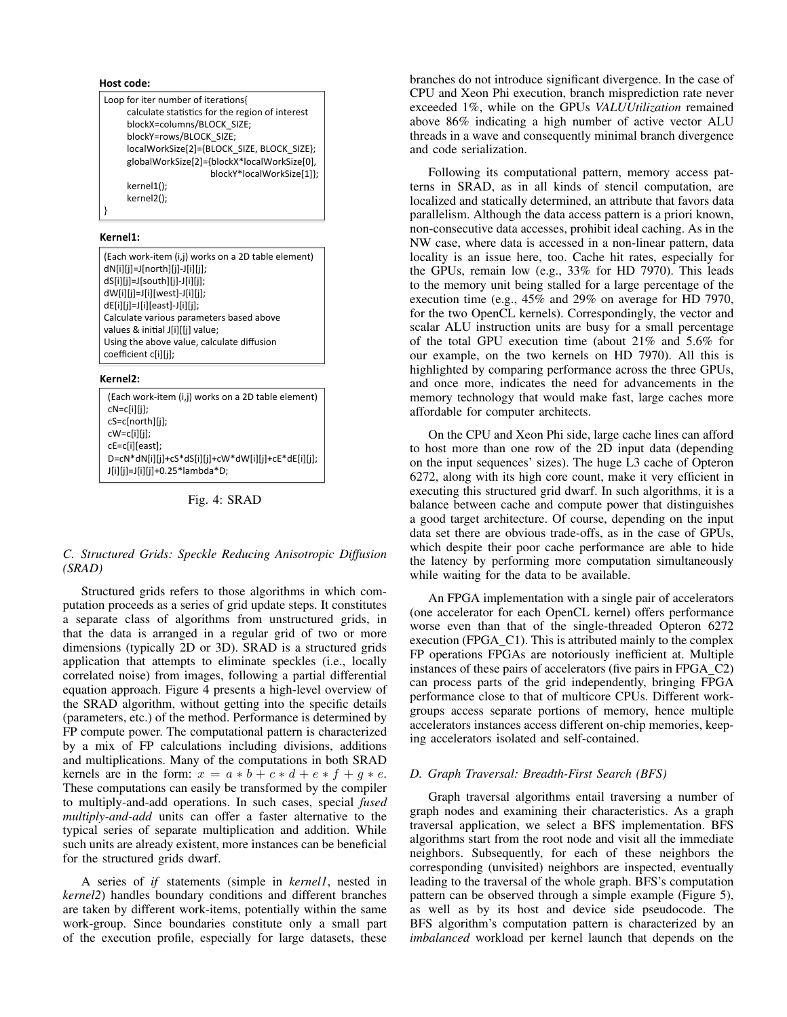#### Host code:

| Loop for iter number of iterations{             |
|-------------------------------------------------|
| calculate statistics for the region of interest |
| blockX=columns/BLOCK SIZE;                      |
| blockY=rows/BLOCK SIZE;                         |
| localWorkSize[2]={BLOCK SIZE, BLOCK SIZE};      |
| globalWorkSize[2]={blockX*localWorkSize[0],     |
| blockY*localWorkSize[1]};                       |
| $kernel1()$ ;                                   |
| kernel2();                                      |
|                                                 |

## Kernel1:

#### Kernel<sub>2</sub>:

(Each work-item (i,j) works on a 2D table element)  $cN = c[i][j];$ cS=c[north][j];  $cW = c[i][j];$ cE=c[i][east];  $\textsf{D=}\textsf{CN*dN[i][j]+}\textsf{cS*dS[i][j]+}\textsf{cW*dW[i][j]+}\textsf{cE*dE[i][j];}$ J[i][j]=J[i][j]+0.25\*lambda\*D;

#### Fig. 4: SRAD

## C. Structured Grids: Speckle Reducing Anisotropic Diffusion  $(SRAD)$

Structured grids refers to those algorithms in which computation proceeds as a series of grid update steps. It constitutes a separate class of algorithms from unstructured grids, in that the data is arranged in a regular grid of two or more dimensions (typically 2D or 3D). SRAD is a structured grids application that attempts to eliminate speckles (i.e., locally correlated noise) from images, following a partial differential equation approach. Figure 4 presents a high-level overview of the SRAD algorithm, without getting into the specific details (parameters, etc.) of the method. Performance is determined by FP compute power. The computational pattern is characterized by a mix of FP calculations including divisions, additions and multiplications. Many of the computations in both SRAD kernels are in the form:  $x = a * b + c * d + e * f + g * e$ . These computations can easily be transformed by the compiler to multiply-and-add operations. In such cases, special *fused multiply-and-add* units can offer a faster alternative to the typical series of separate multiplication and addition. While such units are already existent, more instances can be beneficial for the structured grids dwarf.

A series of if statements (simple in kernell, nested in kernel2) handles boundary conditions and different branches are taken by different work-items, potentially within the same work-group. Since boundaries constitute only a small part of the execution profile, especially for large datasets, these branches do not introduce significant divergence. In the case of CPU and Xeon Phi execution, branch misprediction rate never exceeded 1%, while on the GPUs VALUUtilization remained above 86% indicating a high number of active vector ALU threads in a wave and consequently minimal branch divergence and code serialization.

Following its computational pattern, memory access patterns in SRAD, as in all kinds of stencil computation, are localized and statically determined, an attribute that favors data parallelism. Although the data access pattern is a priori known, non-consecutive data accesses, prohibit ideal caching. As in the NW case, where data is accessed in a non-linear pattern, data locality is an issue here, too. Cache hit rates, especially for the GPUs, remain low (e.g., 33% for HD 7970). This leads to the memory unit being stalled for a large percentage of the execution time (e.g., 45% and 29% on average for HD 7970, for the two OpenCL kernels). Correspondingly, the vector and scalar ALU instruction units are busy for a small percentage of the total GPU execution time (about  $21\%$  and  $5.6\%$  for our example, on the two kernels on HD 7970). All this is highlighted by comparing performance across the three GPUs, and once more, indicates the need for advancements in the memory technology that would make fast, large caches more affordable for computer architects.

On the CPU and Xeon Phi side, large cache lines can afford to host more than one row of the 2D input data (depending on the input sequences' sizes). The huge L3 cache of Opteron 6272, along with its high core count, make it very efficient in executing this structured grid dwarf. In such algorithms, it is a balance between cache and compute power that distinguishes a good target architecture. Of course, depending on the input data set there are obvious trade-offs, as in the case of GPUs, which despite their poor cache performance are able to hide the latency by performing more computation simultaneously while waiting for the data to be available.

An FPGA implementation with a single pair of accelerators (one accelerator for each OpenCL kernel) offers performance worse even than that of the single-threaded Opteron 6272 execution (FPGA\_C1). This is attributed mainly to the complex FP operations FPGAs are notoriously inefficient at. Multiple instances of these pairs of accelerators (five pairs in FPGA\_C2) can process parts of the grid independently, bringing FPGA performance close to that of multicore CPUs. Different workgroups access separate portions of memory, hence multiple accelerators instances access different on-chip memories, keeping accelerators isolated and self-contained.

#### D. Graph Traversal: Breadth-First Search (BFS)

Graph traversal algorithms entail traversing a number of graph nodes and examining their characteristics. As a graph traversal application, we select a BFS implementation. BFS algorithms start from the root node and visit all the immediate neighbors. Subsequently, for each of these neighbors the corresponding (unvisited) neighbors are inspected, eventually leading to the traversal of the whole graph. BFS's computation pattern can be observed through a simple example (Figure 5), as well as by its host and device side pseudocode. The BFS algorithm's computation pattern is characterized by an *imbalanced* workload per kernel launch that depends on the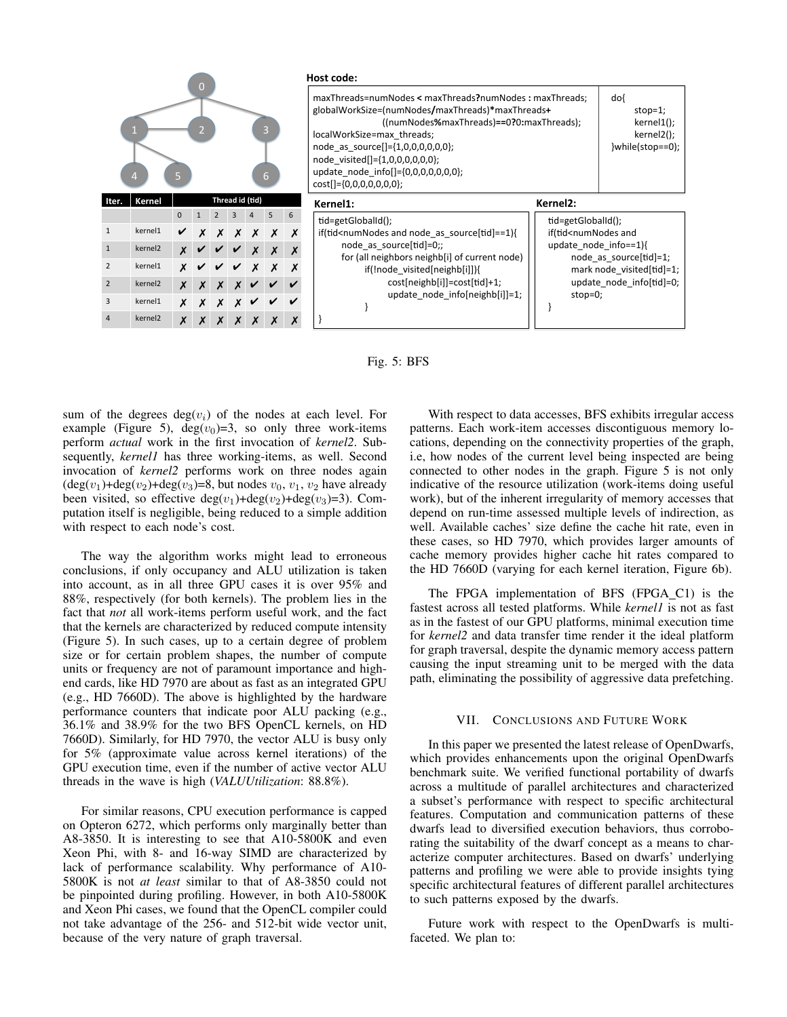



sum of the degrees  $deg(v_i)$  of the nodes at each level. For example (Figure 5),  $deg(v_0)=3$ , so only three work-items perform *actual* work in the first invocation of *kernel2*. Subsequently, *kernel1* has three working-items, as well. Second invocation of *kernel2* performs work on three nodes again  $(\text{deg}(v_1)+\text{deg}(v_2)+\text{deg}(v_3)=8$ , but nodes  $v_0$ ,  $v_1$ ,  $v_2$  have already been visited, so effective  $deg(v_1) + deg(v_2) + deg(v_3) = 3$ . Computation itself is negligible, being reduced to a simple addition with respect to each node's cost.

The way the algorithm works might lead to erroneous conclusions, if only occupancy and ALU utilization is taken into account, as in all three GPU cases it is over 95% and 88%, respectively (for both kernels). The problem lies in the fact that *not* all work-items perform useful work, and the fact that the kernels are characterized by reduced compute intensity (Figure 5). In such cases, up to a certain degree of problem size or for certain problem shapes, the number of compute units or frequency are not of paramount importance and highend cards, like HD 7970 are about as fast as an integrated GPU (e.g., HD 7660D). The above is highlighted by the hardware performance counters that indicate poor ALU packing (e.g., 36.1% and 38.9% for the two BFS OpenCL kernels, on HD 7660D). Similarly, for HD 7970, the vector ALU is busy only for 5% (approximate value across kernel iterations) of the GPU execution time, even if the number of active vector ALU threads in the wave is high (*VALUUtilization*: 88.8%).

For similar reasons, CPU execution performance is capped on Opteron 6272, which performs only marginally better than A8-3850. It is interesting to see that A10-5800K and even Xeon Phi, with 8- and 16-way SIMD are characterized by lack of performance scalability. Why performance of A10- 5800K is not *at least* similar to that of A8-3850 could not be pinpointed during profiling. However, in both A10-5800K and Xeon Phi cases, we found that the OpenCL compiler could not take advantage of the 256- and 512-bit wide vector unit, because of the very nature of graph traversal.

With respect to data accesses, BFS exhibits irregular access patterns. Each work-item accesses discontiguous memory locations, depending on the connectivity properties of the graph, i.e, how nodes of the current level being inspected are being connected to other nodes in the graph. Figure 5 is not only indicative of the resource utilization (work-items doing useful work), but of the inherent irregularity of memory accesses that depend on run-time assessed multiple levels of indirection, as well. Available caches' size define the cache hit rate, even in these cases, so HD 7970, which provides larger amounts of cache memory provides higher cache hit rates compared to the HD 7660D (varying for each kernel iteration, Figure 6b).

The FPGA implementation of BFS (FPGA\_C1) is the fastest across all tested platforms. While *kernel1* is not as fast as in the fastest of our GPU platforms, minimal execution time for *kernel2* and data transfer time render it the ideal platform for graph traversal, despite the dynamic memory access pattern causing the input streaming unit to be merged with the data path, eliminating the possibility of aggressive data prefetching.

## VII. CONCLUSIONS AND FUTURE WORK

In this paper we presented the latest release of OpenDwarfs, which provides enhancements upon the original OpenDwarfs benchmark suite. We verified functional portability of dwarfs across a multitude of parallel architectures and characterized a subset's performance with respect to specific architectural features. Computation and communication patterns of these dwarfs lead to diversified execution behaviors, thus corroborating the suitability of the dwarf concept as a means to characterize computer architectures. Based on dwarfs' underlying patterns and profiling we were able to provide insights tying specific architectural features of different parallel architectures to such patterns exposed by the dwarfs.

Future work with respect to the OpenDwarfs is multifaceted. We plan to: